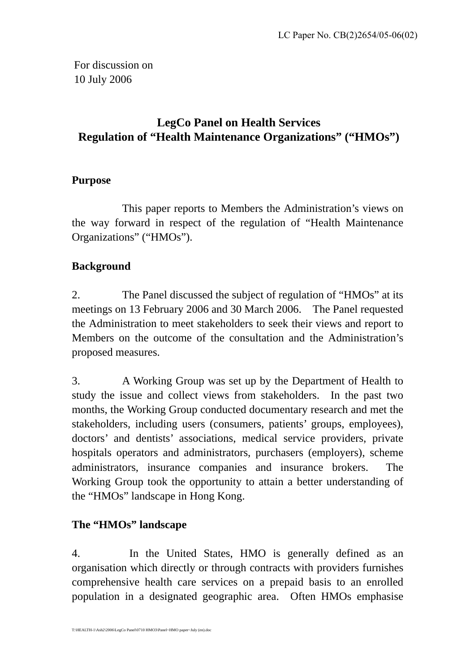For discussion on 10 July 2006

# **LegCo Panel on Health Services Regulation of "Health Maintenance Organizations" ("HMOs")**

## **Purpose**

This paper reports to Members the Administration's views on the way forward in respect of the regulation of "Health Maintenance Organizations" ("HMOs").

## **Background**

2. The Panel discussed the subject of regulation of "HMOs" at its meetings on 13 February 2006 and 30 March 2006. The Panel requested the Administration to meet stakeholders to seek their views and report to Members on the outcome of the consultation and the Administration's proposed measures.

3. A Working Group was set up by the Department of Health to study the issue and collect views from stakeholders. In the past two months, the Working Group conducted documentary research and met the stakeholders, including users (consumers, patients' groups, employees), doctors' and dentists' associations, medical service providers, private hospitals operators and administrators, purchasers (employers), scheme administrators, insurance companies and insurance brokers. The Working Group took the opportunity to attain a better understanding of the "HMOs" landscape in Hong Kong.

## **The "HMOs" landscape**

4. In the United States, HMO is generally defined as an organisation which directly or through contracts with providers furnishes comprehensive health care services on a prepaid basis to an enrolled population in a designated geographic area. Often HMOs emphasise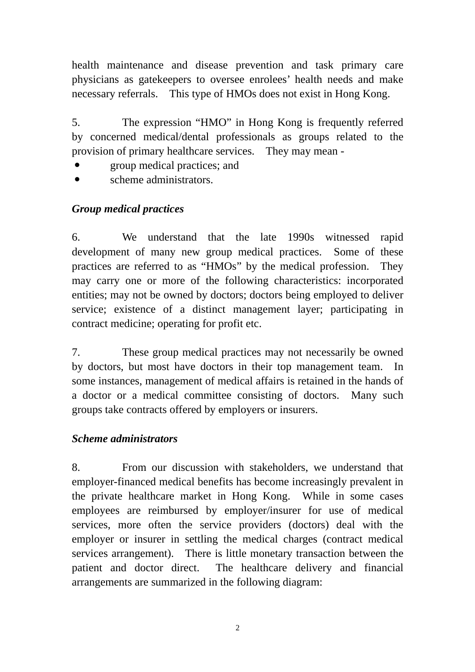health maintenance and disease prevention and task primary care physicians as gatekeepers to oversee enrolees' health needs and make necessary referrals. This type of HMOs does not exist in Hong Kong.

5. The expression "HMO" in Hong Kong is frequently referred by concerned medical/dental professionals as groups related to the provision of primary healthcare services. They may mean -

- y group medical practices; and
- scheme administrators.

## *Group medical practices*

6. We understand that the late 1990s witnessed rapid development of many new group medical practices. Some of these practices are referred to as "HMOs" by the medical profession. They may carry one or more of the following characteristics: incorporated entities; may not be owned by doctors; doctors being employed to deliver service; existence of a distinct management layer; participating in contract medicine; operating for profit etc.

7. These group medical practices may not necessarily be owned by doctors, but most have doctors in their top management team. In some instances, management of medical affairs is retained in the hands of a doctor or a medical committee consisting of doctors. Many such groups take contracts offered by employers or insurers.

## *Scheme administrators*

8. From our discussion with stakeholders, we understand that employer-financed medical benefits has become increasingly prevalent in the private healthcare market in Hong Kong. While in some cases employees are reimbursed by employer/insurer for use of medical services, more often the service providers (doctors) deal with the employer or insurer in settling the medical charges (contract medical services arrangement). There is little monetary transaction between the patient and doctor direct. The healthcare delivery and financial arrangements are summarized in the following diagram: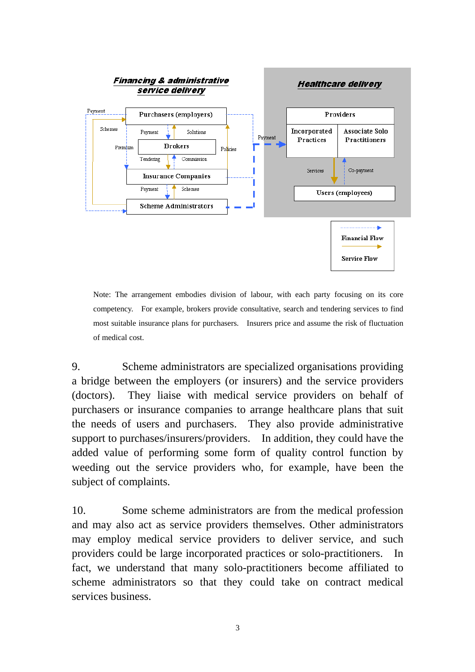

Note: The arrangement embodies division of labour, with each party focusing on its core competency. For example, brokers provide consultative, search and tendering services to find most suitable insurance plans for purchasers. Insurers price and assume the risk of fluctuation of medical cost.

9. Scheme administrators are specialized organisations providing a bridge between the employers (or insurers) and the service providers (doctors). They liaise with medical service providers on behalf of purchasers or insurance companies to arrange healthcare plans that suit the needs of users and purchasers. They also provide administrative support to purchases/insurers/providers. In addition, they could have the added value of performing some form of quality control function by weeding out the service providers who, for example, have been the subject of complaints.

10. Some scheme administrators are from the medical profession and may also act as service providers themselves. Other administrators may employ medical service providers to deliver service, and such providers could be large incorporated practices or solo-practitioners. In fact, we understand that many solo-practitioners become affiliated to scheme administrators so that they could take on contract medical services business.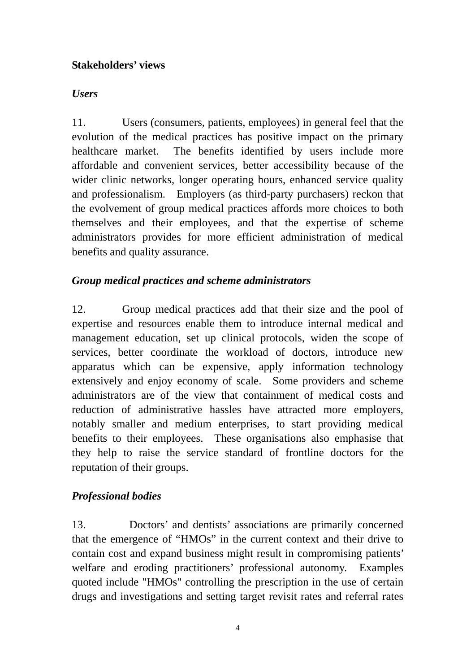## **Stakeholders' views**

#### *Users*

11. Users (consumers, patients, employees) in general feel that the evolution of the medical practices has positive impact on the primary healthcare market. The benefits identified by users include more affordable and convenient services, better accessibility because of the wider clinic networks, longer operating hours, enhanced service quality and professionalism. Employers (as third-party purchasers) reckon that the evolvement of group medical practices affords more choices to both themselves and their employees, and that the expertise of scheme administrators provides for more efficient administration of medical benefits and quality assurance.

## *Group medical practices and scheme administrators*

12. Group medical practices add that their size and the pool of expertise and resources enable them to introduce internal medical and management education, set up clinical protocols, widen the scope of services, better coordinate the workload of doctors, introduce new apparatus which can be expensive, apply information technology extensively and enjoy economy of scale. Some providers and scheme administrators are of the view that containment of medical costs and reduction of administrative hassles have attracted more employers, notably smaller and medium enterprises, to start providing medical benefits to their employees. These organisations also emphasise that they help to raise the service standard of frontline doctors for the reputation of their groups.

## *Professional bodies*

13. Doctors' and dentists' associations are primarily concerned that the emergence of "HMOs" in the current context and their drive to contain cost and expand business might result in compromising patients' welfare and eroding practitioners' professional autonomy. Examples quoted include "HMOs" controlling the prescription in the use of certain drugs and investigations and setting target revisit rates and referral rates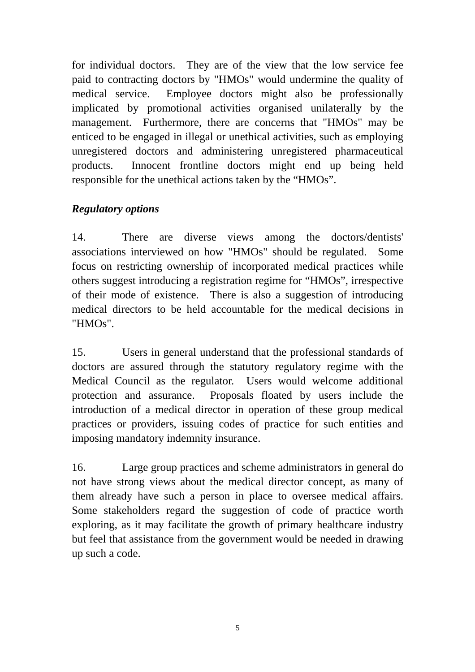for individual doctors. They are of the view that the low service fee paid to contracting doctors by "HMOs" would undermine the quality of medical service. Employee doctors might also be professionally implicated by promotional activities organised unilaterally by the management. Furthermore, there are concerns that "HMOs" may be enticed to be engaged in illegal or unethical activities, such as employing unregistered doctors and administering unregistered pharmaceutical products. Innocent frontline doctors might end up being held responsible for the unethical actions taken by the "HMOs".

## *Regulatory options*

14. There are diverse views among the doctors/dentists' associations interviewed on how "HMOs" should be regulated. Some focus on restricting ownership of incorporated medical practices while others suggest introducing a registration regime for "HMOs", irrespective of their mode of existence. There is also a suggestion of introducing medical directors to be held accountable for the medical decisions in "HMOs".

15. Users in general understand that the professional standards of doctors are assured through the statutory regulatory regime with the Medical Council as the regulator. Users would welcome additional protection and assurance. Proposals floated by users include the introduction of a medical director in operation of these group medical practices or providers, issuing codes of practice for such entities and imposing mandatory indemnity insurance.

16. Large group practices and scheme administrators in general do not have strong views about the medical director concept, as many of them already have such a person in place to oversee medical affairs. Some stakeholders regard the suggestion of code of practice worth exploring, as it may facilitate the growth of primary healthcare industry but feel that assistance from the government would be needed in drawing up such a code.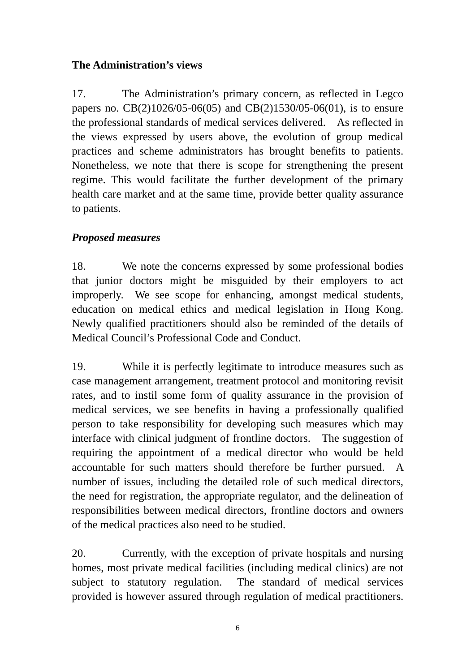## **The Administration's views**

17. The Administration's primary concern, as reflected in Legco papers no. CB(2)1026/05-06(05) and CB(2)1530/05-06(01), is to ensure the professional standards of medical services delivered. As reflected in the views expressed by users above, the evolution of group medical practices and scheme administrators has brought benefits to patients. Nonetheless, we note that there is scope for strengthening the present regime. This would facilitate the further development of the primary health care market and at the same time, provide better quality assurance to patients.

## *Proposed measures*

18. We note the concerns expressed by some professional bodies that junior doctors might be misguided by their employers to act improperly. We see scope for enhancing, amongst medical students, education on medical ethics and medical legislation in Hong Kong. Newly qualified practitioners should also be reminded of the details of Medical Council's Professional Code and Conduct.

19. While it is perfectly legitimate to introduce measures such as case management arrangement, treatment protocol and monitoring revisit rates, and to instil some form of quality assurance in the provision of medical services, we see benefits in having a professionally qualified person to take responsibility for developing such measures which may interface with clinical judgment of frontline doctors. The suggestion of requiring the appointment of a medical director who would be held accountable for such matters should therefore be further pursued. A number of issues, including the detailed role of such medical directors, the need for registration, the appropriate regulator, and the delineation of responsibilities between medical directors, frontline doctors and owners of the medical practices also need to be studied.

20. Currently, with the exception of private hospitals and nursing homes, most private medical facilities (including medical clinics) are not subject to statutory regulation. The standard of medical services provided is however assured through regulation of medical practitioners.